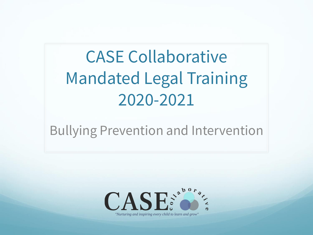# CASE Collaborative Mandated Legal Training 2020-2021

#### Bullying Prevention and Intervention



"Nurturing and inspiring every child to learn and grow"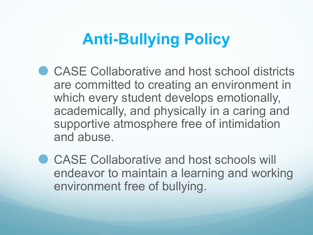### **Anti-Bullying Policy**

- ⚫ CASE Collaborative and host school districts are committed to creating an environment in which every student develops emotionally, academically, and physically in a caring and supportive atmosphere free of intimidation and abuse.
- ⚫ CASE Collaborative and host schools will endeavor to maintain a learning and working environment free of bullying.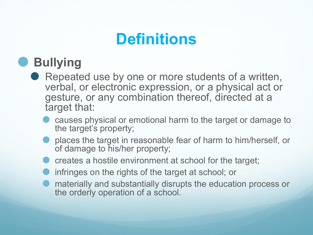### **Definitions**

#### ⚫ **Bullying**

- Repeated use by one or more students of a written, verbal, or electronic expression, or a physical act or gesture, or any combination thereof, directed at a target that:
	- ⚫ causes physical or emotional harm to the target or damage to the target's property;
	- ⚫ places the target in reasonable fear of harm to him/herself, or of damage to his/her property;
	- ⚫ creates a hostile environment at school for the target;
	- ⚫ infringes on the rights of the target at school; or
	- ⚫ materially and substantially disrupts the education process or the orderly operation of a school.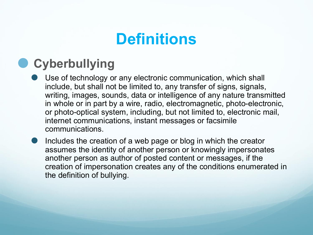### **Definitions**

#### ⚫ **Cyberbullying**

- Use of technology or any electronic communication, which shall include, but shall not be limited to, any transfer of signs, signals, writing, images, sounds, data or intelligence of any nature transmitted in whole or in part by a wire, radio, electromagnetic, photo-electronic, or photo-optical system, including, but not limited to, electronic mail, internet communications, instant messages or facsimile communications.
- ⚫ Includes the creation of a web page or blog in which the creator assumes the identity of another person or knowingly impersonates another person as author of posted content or messages, if the creation of impersonation creates any of the conditions enumerated in the definition of bullying.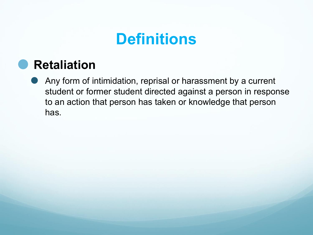#### **Definitions**

#### ⚫ **Retaliation**

⚫ Any form of intimidation, reprisal or harassment by a current student or former student directed against a person in response to an action that person has taken or knowledge that person has.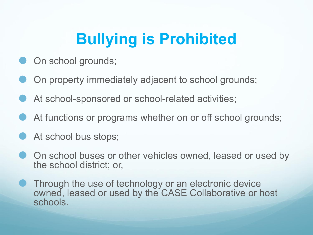## **Bullying is Prohibited**

- On school grounds;
- ⚫ On property immediately adjacent to school grounds;
- At school-sponsored or school-related activities;
- At functions or programs whether on or off school grounds;
- At school bus stops;
- ⚫ On school buses or other vehicles owned, leased or used by the school district; or,
- ⚫ Through the use of technology or an electronic device owned, leased or used by the CASE Collaborative or host schools.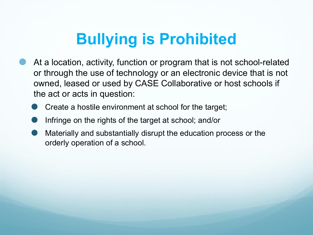## **Bullying is Prohibited**

- ⚫ At a location, activity, function or program that is not school-related or through the use of technology or an electronic device that is not owned, leased or used by CASE Collaborative or host schools if the act or acts in question:
	- ⚫ Create a hostile environment at school for the target;
	- ⚫ Infringe on the rights of the target at school; and/or
	- ⚫ Materially and substantially disrupt the education process or the orderly operation of a school.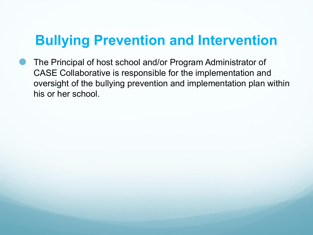#### **Bullying Prevention and Intervention**

⚫ The Principal of host school and/or Program Administrator of CASE Collaborative is responsible for the implementation and oversight of the bullying prevention and implementation plan within his or her school.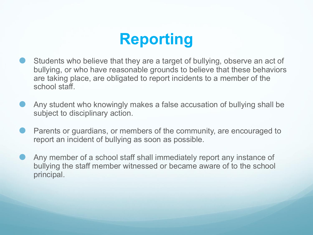## **Reporting**

- ⚫ Students who believe that they are a target of bullying, observe an act of bullying, or who have reasonable grounds to believe that these behaviors are taking place, are obligated to report incidents to a member of the school staff.
- ⚫ Any student who knowingly makes a false accusation of bullying shall be subject to disciplinary action.
- ⚫ Parents or guardians, or members of the community, are encouraged to report an incident of bullying as soon as possible.
- ⚫ Any member of a school staff shall immediately report any instance of bullying the staff member witnessed or became aware of to the school principal.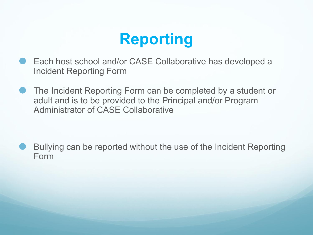## **Reporting**

- ⚫ Each host school and/or CASE Collaborative has developed a Incident Reporting Form
- ⚫ The Incident Reporting Form can be completed by a student or adult and is to be provided to the Principal and/or Program Administrator of CASE Collaborative

⚫ Bullying can be reported without the use of the Incident Reporting Form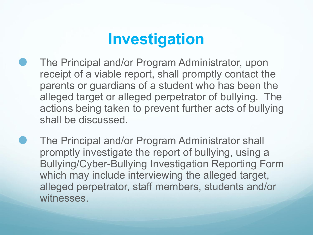## **Investigation**

- ⚫ The Principal and/or Program Administrator, upon receipt of a viable report, shall promptly contact the parents or guardians of a student who has been the alleged target or alleged perpetrator of bullying. The actions being taken to prevent further acts of bullying shall be discussed.
- ⚫ The Principal and/or Program Administrator shall promptly investigate the report of bullying, using a Bullying/Cyber-Bullying Investigation Reporting Form which may include interviewing the alleged target, alleged perpetrator, staff members, students and/or witnesses.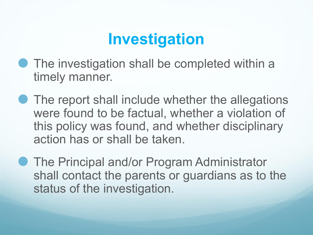## **Investigation**

- The investigation shall be completed within a timely manner.
- The report shall include whether the allegations were found to be factual, whether a violation of this policy was found, and whether disciplinary action has or shall be taken.
- The Principal and/or Program Administrator shall contact the parents or guardians as to the status of the investigation.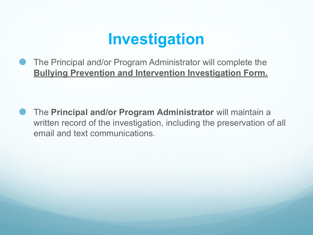## **Investigation**

⚫ The Principal and/or Program Administrator will complete the **Bullying Prevention and Intervention Investigation Form.**

⚫ The **Principal and/or Program Administrator** will maintain a written record of the investigation, including the preservation of all email and text communications.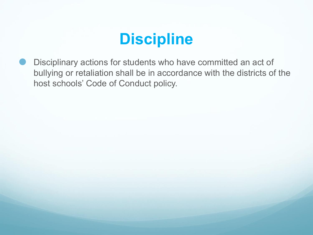#### **Discipline**

⚫ Disciplinary actions for students who have committed an act of bullying or retaliation shall be in accordance with the districts of the host schools' Code of Conduct policy.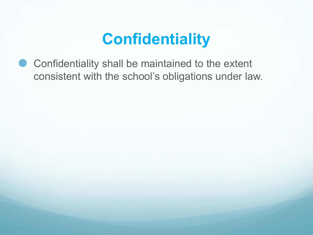## **Confidentiality**

⚫ Confidentiality shall be maintained to the extent consistent with the school's obligations under law.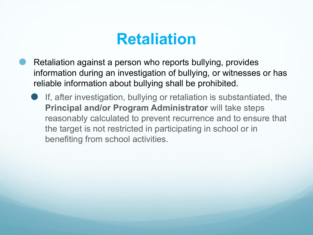#### **Retaliation**

- ⚫ Retaliation against a person who reports bullying, provides information during an investigation of bullying, or witnesses or has reliable information about bullying shall be prohibited.
	- ⚫ If, after investigation, bullying or retaliation is substantiated, the **Principal and/or Program Administrator** will take steps reasonably calculated to prevent recurrence and to ensure that the target is not restricted in participating in school or in benefiting from school activities.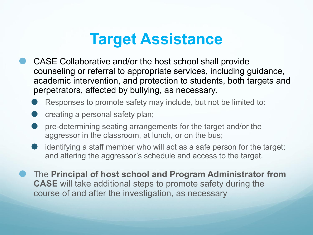#### **Target Assistance**

⚫ CASE Collaborative and/or the host school shall provide counseling or referral to appropriate services, including guidance, academic intervention, and protection to students, both targets and perpetrators, affected by bullying, as necessary.

Responses to promote safety may include, but not be limited to:

- ⚫ creating a personal safety plan;
- ⚫ pre-determining seating arrangements for the target and/or the aggressor in the classroom, at lunch, or on the bus;
- identifying a staff member who will act as a safe person for the target; and altering the aggressor's schedule and access to the target.
- ⚫ The **Principal of host school and Program Administrator from CASE** will take additional steps to promote safety during the course of and after the investigation, as necessary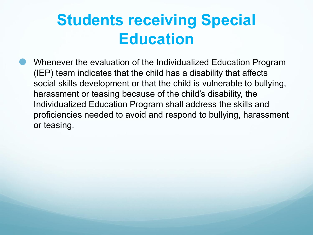## **Students receiving Special Education**

⚫ Whenever the evaluation of the Individualized Education Program (IEP) team indicates that the child has a disability that affects social skills development or that the child is vulnerable to bullying, harassment or teasing because of the child's disability, the Individualized Education Program shall address the skills and proficiencies needed to avoid and respond to bullying, harassment or teasing.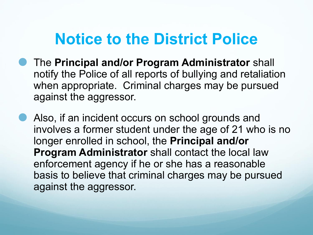#### **Notice to the District Police**

- ⚫ The **Principal and/or Program Administrator** shall notify the Police of all reports of bullying and retaliation when appropriate. Criminal charges may be pursued against the aggressor.
- **Also, if an incident occurs on school grounds and** involves a former student under the age of 21 who is no longer enrolled in school, the **Principal and/or Program Administrator** shall contact the local law enforcement agency if he or she has a reasonable basis to believe that criminal charges may be pursued against the aggressor.